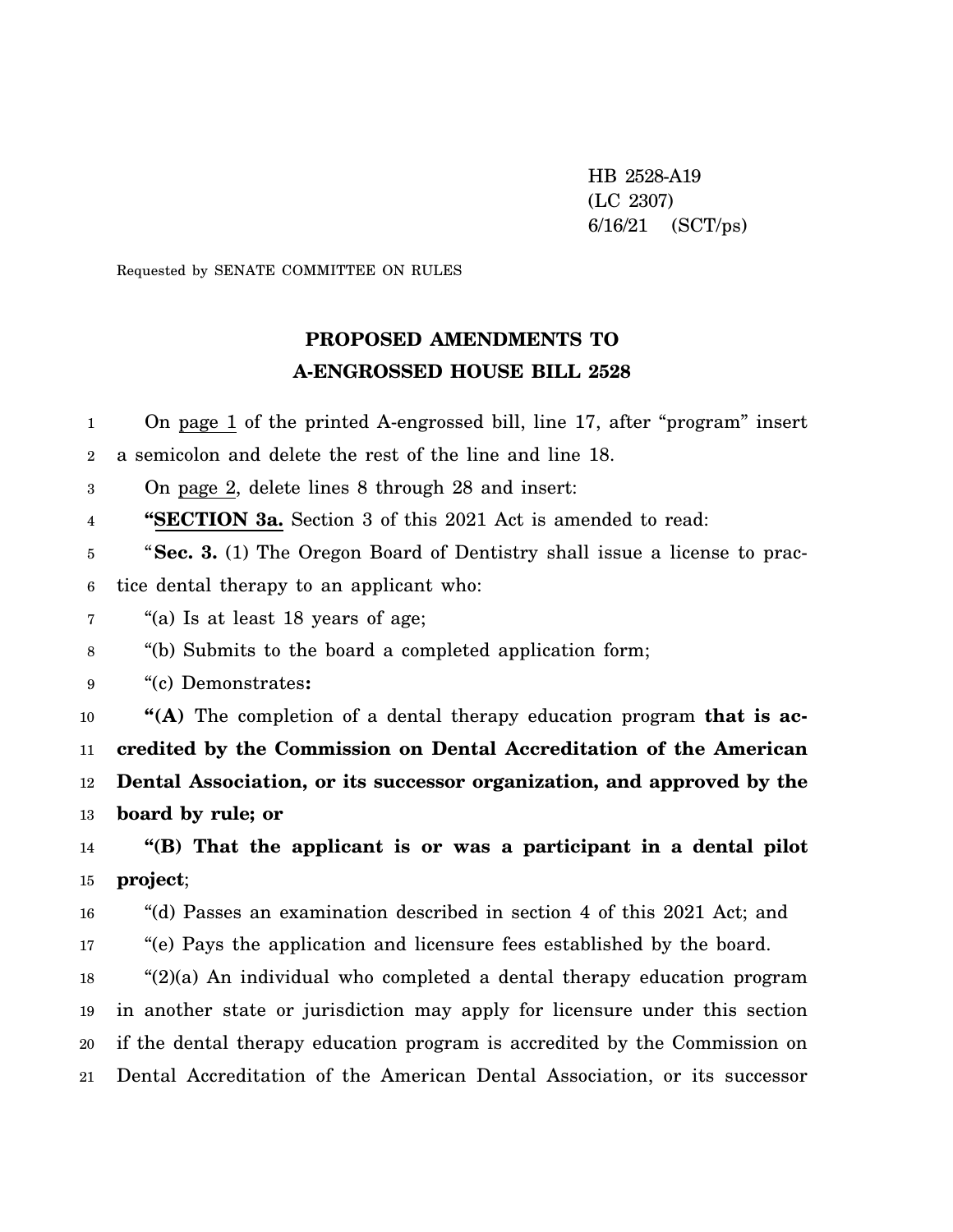HB 2528-A19 (LC 2307) 6/16/21 (SCT/ps)

Requested by SENATE COMMITTEE ON RULES

## **PROPOSED AMENDMENTS TO A-ENGROSSED HOUSE BILL 2528**

1 2 3 4 5 6 7 8 9 10 11 12 13 14 15 16 17 18 19 20 21 On page 1 of the printed A-engrossed bill, line 17, after "program" insert a semicolon and delete the rest of the line and line 18. On page 2, delete lines 8 through 28 and insert: **"SECTION 3a.** Section 3 of this 2021 Act is amended to read: "**Sec. 3.** (1) The Oregon Board of Dentistry shall issue a license to practice dental therapy to an applicant who: "(a) Is at least 18 years of age; "(b) Submits to the board a completed application form; "(c) Demonstrates**: "(A)** The completion of a dental therapy education program **that is accredited by the Commission on Dental Accreditation of the American Dental Association, or its successor organization, and approved by the board by rule; or "(B) That the applicant is or was a participant in a dental pilot project**; "(d) Passes an examination described in section 4 of this 2021 Act; and "(e) Pays the application and licensure fees established by the board. " $(2)(a)$  An individual who completed a dental therapy education program in another state or jurisdiction may apply for licensure under this section if the dental therapy education program is accredited by the Commission on Dental Accreditation of the American Dental Association, or its successor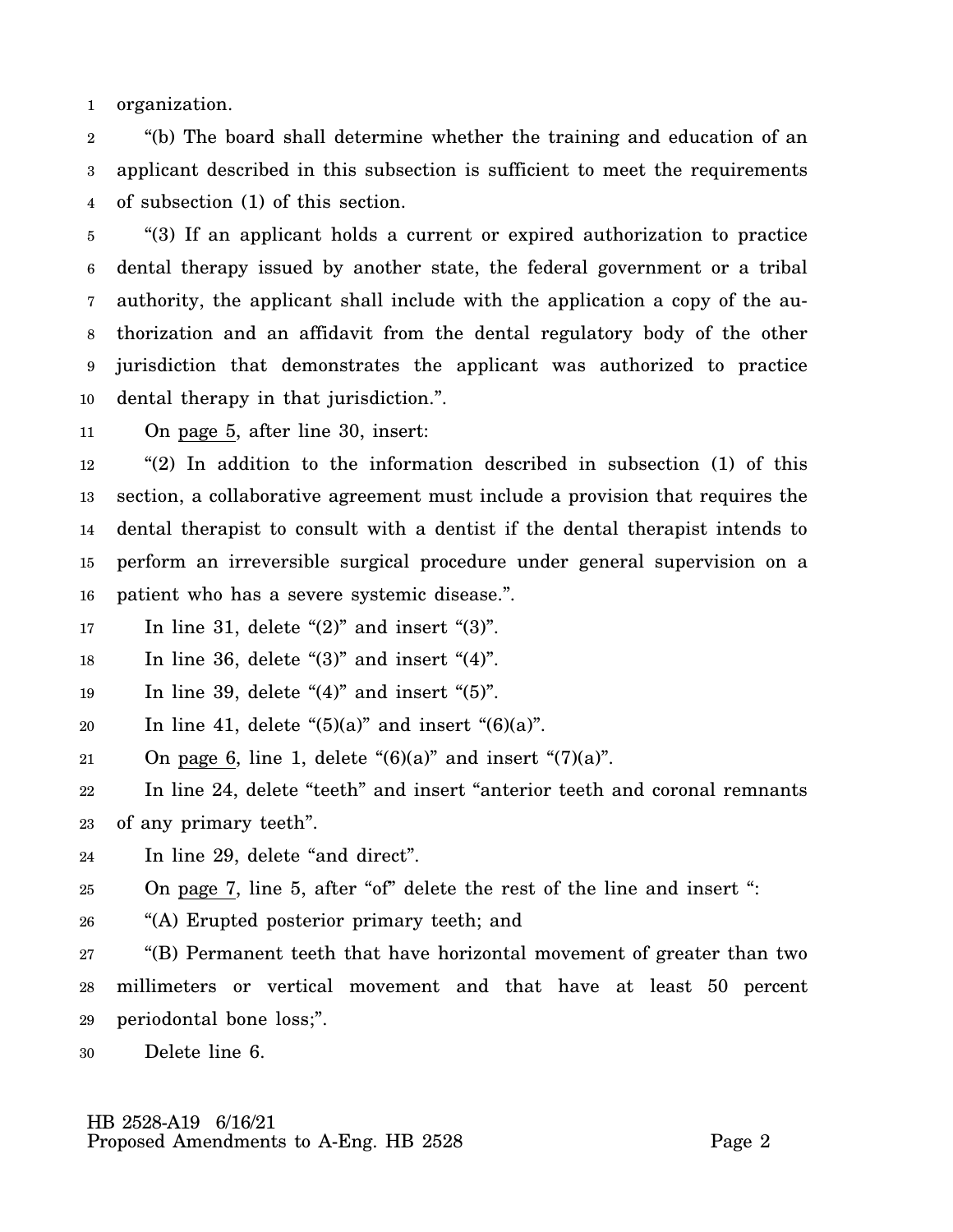1 organization.

2 3 4 "(b) The board shall determine whether the training and education of an applicant described in this subsection is sufficient to meet the requirements of subsection (1) of this section.

5 6 7 8 9 10 "(3) If an applicant holds a current or expired authorization to practice dental therapy issued by another state, the federal government or a tribal authority, the applicant shall include with the application a copy of the authorization and an affidavit from the dental regulatory body of the other jurisdiction that demonstrates the applicant was authorized to practice dental therapy in that jurisdiction.".

11 On page 5, after line 30, insert:

12 13 14 15 16 "(2) In addition to the information described in subsection (1) of this section, a collaborative agreement must include a provision that requires the dental therapist to consult with a dentist if the dental therapist intends to perform an irreversible surgical procedure under general supervision on a patient who has a severe systemic disease.".

17 In line 31, delete " $(2)$ " and insert " $(3)$ ".

18 In line 36, delete " $(3)$ " and insert " $(4)$ ".

19 In line 39, delete " $(4)$ " and insert " $(5)$ ".

20 In line 41, delete " $(5)(a)$ " and insert " $(6)(a)$ ".

21 On page 6, line 1, delete " $(6)(a)$ " and insert " $(7)(a)$ ".

22 23 In line 24, delete "teeth" and insert "anterior teeth and coronal remnants of any primary teeth".

24 In line 29, delete "and direct".

25 On page 7, line 5, after "of" delete the rest of the line and insert ":

26 "(A) Erupted posterior primary teeth; and

27 28 29 "(B) Permanent teeth that have horizontal movement of greater than two millimeters or vertical movement and that have at least 50 percent periodontal bone loss;".

30 Delete line 6.

## HB 2528-A19 6/16/21 Proposed Amendments to A-Eng. HB 2528 Page 2